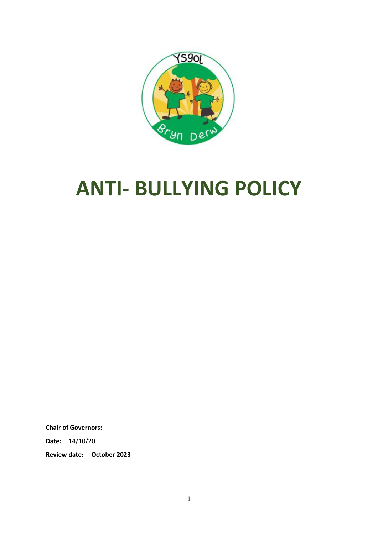

# **ANTI- BULLYING POLICY**

**Chair of Governors:**

**Date:** 14/10/20

**Review date: October 2023**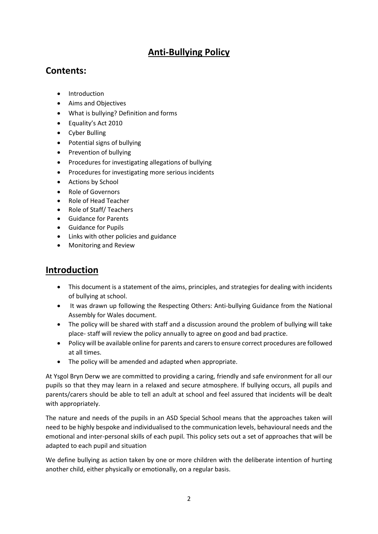# **Anti-Bullying Policy**

## **Contents:**

- Introduction
- Aims and Objectives
- What is bullying? Definition and forms
- Equality's Act 2010
- Cyber Bulling
- Potential signs of bullying
- Prevention of bullying
- Procedures for investigating allegations of bullying
- Procedures for investigating more serious incidents
- Actions by School
- Role of Governors
- Role of Head Teacher
- Role of Staff/ Teachers
- Guidance for Parents
- Guidance for Pupils
- Links with other policies and guidance
- Monitoring and Review

## **Introduction**

- This document is a statement of the aims, principles, and strategies for dealing with incidents of bullying at school.
- It was drawn up following the Respecting Others: Anti-bullying Guidance from the National Assembly for Wales document.
- The policy will be shared with staff and a discussion around the problem of bullying will take place- staff will review the policy annually to agree on good and bad practice.
- Policy will be available online for parents and carers to ensure correct procedures are followed at all times.
- The policy will be amended and adapted when appropriate.

At Ysgol Bryn Derw we are committed to providing a caring, friendly and safe environment for all our pupils so that they may learn in a relaxed and secure atmosphere. If bullying occurs, all pupils and parents/carers should be able to tell an adult at school and feel assured that incidents will be dealt with appropriately.

The nature and needs of the pupils in an ASD Special School means that the approaches taken will need to be highly bespoke and individualised to the communication levels, behavioural needs and the emotional and inter-personal skills of each pupil. This policy sets out a set of approaches that will be adapted to each pupil and situation

We define bullying as action taken by one or more children with the deliberate intention of hurting another child, either physically or emotionally, on a regular basis.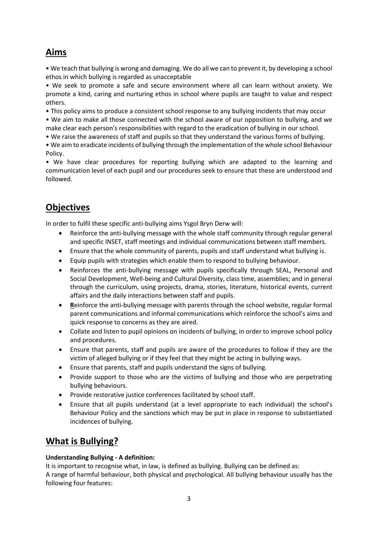# **Aims**

• We teach that bullying is wrong and damaging. We do all we can to prevent it, by developing a school ethos in which bullying is regarded as unacceptable

• We seek to promote a safe and secure environment where all can learn without anxiety. We promote a kind, caring and nurturing ethos in school where pupils are taught to value and respect others.

• This policy aims to produce a consistent school response to any bullying incidents that may occur

• We aim to make all those connected with the school aware of our opposition to bullying, and we make clear each person's responsibilities with regard to the eradication of bullying in our school.

• We raise the awareness of staff and pupils so that they understand the various forms of bullying.

• We aim to eradicate incidents of bullying through the implementation of the whole school Behaviour Policy.

• We have clear procedures for reporting bullying which are adapted to the learning and communication level of each pupil and our procedures seek to ensure that these are understood and followed.

# **Objectives**

In order to fulfil these specific anti-bullying aims Ysgol Bryn Derw will:

- Reinforce the anti-bullying message with the whole staff community through regular general and specific INSET, staff meetings and individual communications between staff members.
- Ensure that the whole community of parents, pupils and staff understand what bullying is.
- Equip pupils with strategies which enable them to respond to bullying behaviour.
- Reinforces the anti-bullying message with pupils specifically through SEAL, Personal and Social Development, Well-being and Cultural Diversity, class time, assemblies; and in general through the curriculum, using projects, drama, stories, literature, historical events, current affairs and the daily interactions between staff and pupils.
- **R**einforce the anti-bullying message with parents through the school website, regular formal parent communications and informal communications which reinforce the school's aims and quick response to concerns as they are aired.
- Collate and listen to pupil opinions on incidents of bullying, in order to improve school policy and procedures.
- Ensure that parents, staff and pupils are aware of the procedures to follow if they are the victim of alleged bullying or if they feel that they might be acting in bullying ways.
- Ensure that parents, staff and pupils understand the signs of bullying.
- Provide support to those who are the victims of bullying and those who are perpetrating bullying behaviours.
- Provide restorative justice conferences facilitated by school staff.
- Ensure that all pupils understand (at a level appropriate to each individual) the school's Behaviour Policy and the sanctions which may be put in place in response to substantiated incidences of bullying.

# **What is Bullying?**

#### **Understanding Bullying - A definition:**

It is important to recognise what, in law, is defined as bullying. Bullying can be defined as: A range of harmful behaviour, both physical and psychological. All bullying behaviour usually has the following four features: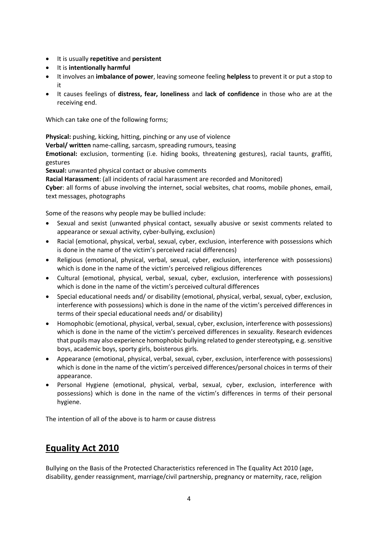- It is usually **repetitive** and **persistent**
- It is **intentionally harmful**
- It involves an **imbalance of power**, leaving someone feeling **helpless** to prevent it or put a stop to it
- It causes feelings of **distress, fear, loneliness** and **lack of confidence** in those who are at the receiving end.

Which can take one of the following forms;

**Physical:** pushing, kicking, hitting, pinching or any use of violence

**Verbal/ written** name-calling, sarcasm, spreading rumours, teasing

**Emotional:** exclusion, tormenting (i.e. hiding books, threatening gestures), racial taunts, graffiti, gestures

**Sexual:** unwanted physical contact or abusive comments

**Racial Harassment**: (all incidents of racial harassment are recorded and Monitored)

**Cyber**: all forms of abuse involving the internet, social websites, chat rooms, mobile phones, email, text messages, photographs

Some of the reasons why people may be bullied include:

- Sexual and sexist (unwanted physical contact, sexually abusive or sexist comments related to appearance or sexual activity, cyber-bullying, exclusion)
- Racial (emotional, physical, verbal, sexual, cyber, exclusion, interference with possessions which is done in the name of the victim's perceived racial differences)
- Religious (emotional, physical, verbal, sexual, cyber, exclusion, interference with possessions) which is done in the name of the victim's perceived religious differences
- Cultural (emotional, physical, verbal, sexual, cyber, exclusion, interference with possessions) which is done in the name of the victim's perceived cultural differences
- Special educational needs and/ or disability (emotional, physical, verbal, sexual, cyber, exclusion, interference with possessions) which is done in the name of the victim's perceived differences in terms of their special educational needs and/ or disability)
- Homophobic (emotional, physical, verbal, sexual, cyber, exclusion, interference with possessions) which is done in the name of the victim's perceived differences in sexuality. Research evidences that pupils may also experience homophobic bullying related to gender stereotyping, e.g. sensitive boys, academic boys, sporty girls, boisterous girls.
- Appearance (emotional, physical, verbal, sexual, cyber, exclusion, interference with possessions) which is done in the name of the victim's perceived differences/personal choices in terms of their appearance.
- Personal Hygiene (emotional, physical, verbal, sexual, cyber, exclusion, interference with possessions) which is done in the name of the victim's differences in terms of their personal hygiene.

The intention of all of the above is to harm or cause distress

# **Equality Act 2010**

Bullying on the Basis of the Protected Characteristics referenced in The Equality Act 2010 (age, disability, gender reassignment, marriage/civil partnership, pregnancy or maternity, race, religion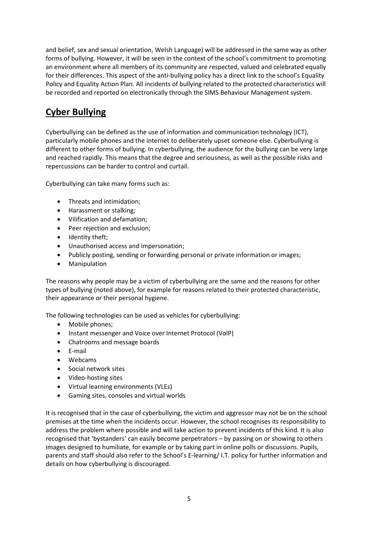and belief, sex and sexual orientation, Welsh Language) will be addressed in the same way as other forms of bullying. However, it will be seen in the context of the school's commitment to promoting an environment where all members of its community are respected, valued and celebrated equally for their differences. This aspect of the anti-bullying policy has a direct link to the school's Equality Policy and Equality Action Plan. All incidents of bullying related to the protected characteristics will be recorded and reported on electronically through the SIMS Behaviour Management system.

# **Cyber Bullying**

Cyberbullying can be defined as the use of information and communication technology (ICT), particularly mobile phones and the internet to deliberately upset someone else. Cyberbullying is different to other forms of bullying. In cyberbullying, the audience for the bullying can be very large and reached rapidly. This means that the degree and seriousness, as well as the possible risks and repercussions can be harder to control and curtail.

Cyberbullying can take many forms such as:

- Threats and intimidation;
- Harassment or stalking;
- Vilification and defamation;
- Peer rejection and exclusion;
- Identity theft;
- Unauthorised access and impersonation;
- Publicly posting, sending or forwarding personal or private information or images;
- Manipulation

The reasons why people may be a victim of cyberbullying are the same and the reasons for other types of bullying (noted above), for example for reasons related to their protected characteristic, their appearance or their personal hygiene.

The following technologies can be used as vehicles for cyberbullying:

- Mobile phones;
- Instant messenger and Voice over Internet Protocol (VolP)
- Chatrooms and message boards
- E-mail
- Webcams
- Social network sites
- Video-hosting sites
- Virtual learning environments (VLEs)
- Gaming sites, consoles and virtual worlds

It is recognised that in the case of cyberbullying, the victim and aggressor may not be on the school premises at the time when the incidents occur. However, the school recognises its responsibility to address the problem where possible and will take action to prevent incidents of this kind. It is also recognised that 'bystanders' can easily become perpetrators – by passing on or showing to others images designed to humiliate, for example or by taking part in online polls or discussions. Pupils, parents and staff should also refer to the School's E-learning/ I.T. policy for further information and details on how cyberbullying is discouraged.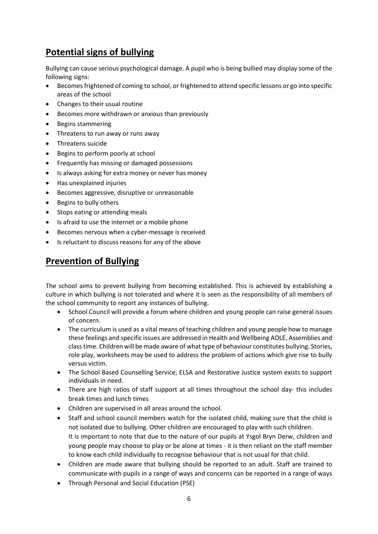# **Potential signs of bullying**

Bullying can cause serious psychological damage. A pupil who is being bullied may display some of the following signs:

- Becomes frightened of coming to school, or frightened to attend specific lessons or go into specific areas of the school
- Changes to their usual routine
- Becomes more withdrawn or anxious than previously
- Begins stammering
- Threatens to run away or runs away
- Threatens suicide
- Begins to perform poorly at school
- Frequently has missing or damaged possessions
- Is always asking for extra money or never has money
- Has unexplained injuries
- Becomes aggressive, disruptive or unreasonable
- Begins to bully others
- Stops eating or attending meals
- Is afraid to use the internet or a mobile phone
- Becomes nervous when a cyber-message is received
- Is reluctant to discuss reasons for any of the above

## **Prevention of Bullying**

The school aims to prevent bullying from becoming established. This is achieved by establishing a culture in which bullying is not tolerated and where it is seen as the responsibility of all members of the school community to report any instances of bullying.

- School Council will provide a forum where children and young people can raise general issues of concern.
- The curriculum is used as a vital means of teaching children and young people how to manage these feelings and specific issues are addressed in Health and Wellbeing AOLE, Assemblies and class time. Children will be made aware of what type of behaviour constitutes bullying. Stories, role play, worksheets may be used to address the problem of actions which give rise to bully versus victim.
- The School Based Counselling Service, ELSA and Restorative Justice system exists to support individuals in need.
- There are high ratios of staff support at all times throughout the school day-this includes break times and lunch times
- Children are supervised in all areas around the school.
- Staff and school council members watch for the isolated child, making sure that the child is not isolated due to bullying. Other children are encouraged to play with such children. It is important to note that due to the nature of our pupils at Ysgol Bryn Derw, children and young people may choose to play or be alone at times - it is then reliant on the staff member to know each child individually to recognise behaviour that is not usual for that child.
- Children are made aware that bullying should be reported to an adult. Staff are trained to communicate with pupils in a range of ways and concerns can be reported in a range of ways
- Through Personal and Social Education (PSE)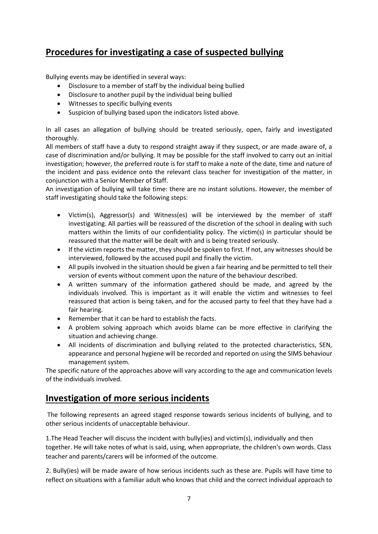# **Procedures for investigating a case of suspected bullying**

Bullying events may be identified in several ways:

- Disclosure to a member of staff by the individual being bullied
- Disclosure to another pupil by the individual being bullied
- Witnesses to specific bullying events
- Suspicion of bullying based upon the indicators listed above.

In all cases an allegation of bullying should be treated seriously, open, fairly and investigated thoroughly.

All members of staff have a duty to respond straight away if they suspect, or are made aware of, a case of discrimination and/or bullying. It may be possible for the staff involved to carry out an initial investigation; however, the preferred route is for staff to make a note of the date, time and nature of the incident and pass evidence onto the relevant class teacher for investigation of the matter, in conjunction with a Senior Member of Staff.

An investigation of bullying will take time: there are no instant solutions. However, the member of staff investigating should take the following steps:

- Victim(s), Aggressor(s) and Witness(es) will be interviewed by the member of staff investigating. All parties will be reassured of the discretion of the school in dealing with such matters within the limits of our confidentiality policy. The victim(s) in particular should be reassured that the matter will be dealt with and is being treated seriously.
- If the victim reports the matter, they should be spoken to first. If not, any witnesses should be interviewed, followed by the accused pupil and finally the victim.
- All pupils involved in the situation should be given a fair hearing and be permitted to tell their version of events without comment upon the nature of the behaviour described.
- A written summary of the information gathered should be made, and agreed by the individuals involved. This is important as it will enable the victim and witnesses to feel reassured that action is being taken, and for the accused party to feel that they have had a fair hearing.
- Remember that it can be hard to establish the facts.
- A problem solving approach which avoids blame can be more effective in clarifying the situation and achieving change.
- All incidents of discrimination and bullying related to the protected characteristics, SEN, appearance and personal hygiene will be recorded and reported on using the SIMS behaviour management system.

The specific nature of the approaches above will vary according to the age and communication levels of the individuals involved.

### **Investigation of more serious incidents**

The following represents an agreed staged response towards serious incidents of bullying, and to other serious incidents of unacceptable behaviour.

1.The Head Teacher will discuss the incident with bully(ies) and victim(s), individually and then together. He will take notes of what is said, using, when appropriate, the children's own words. Class teacher and parents/carers will be informed of the outcome.

2. Bully(ies) will be made aware of how serious incidents such as these are. Pupils will have time to reflect on situations with a familiar adult who knows that child and the correct individual approach to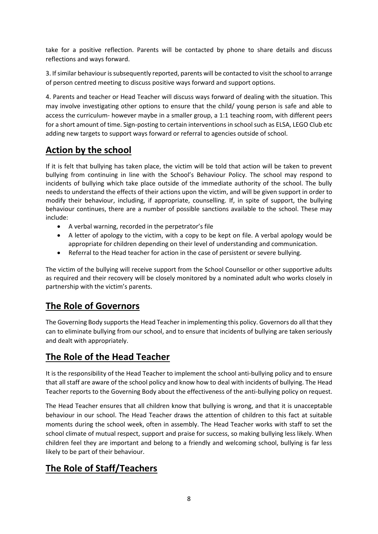take for a positive reflection. Parents will be contacted by phone to share details and discuss reflections and ways forward.

3. If similar behaviour is subsequently reported, parents will be contacted to visit the school to arrange of person centred meeting to discuss positive ways forward and support options.

4. Parents and teacher or Head Teacher will discuss ways forward of dealing with the situation. This may involve investigating other options to ensure that the child/ young person is safe and able to access the curriculum- however maybe in a smaller group, a 1:1 teaching room, with different peers for a short amount of time. Sign-posting to certain interventions in school such as ELSA, LEGO Club etc adding new targets to support ways forward or referral to agencies outside of school.

# **Action by the school**

If it is felt that bullying has taken place, the victim will be told that action will be taken to prevent bullying from continuing in line with the School's Behaviour Policy. The school may respond to incidents of bullying which take place outside of the immediate authority of the school. The bully needs to understand the effects of their actions upon the victim, and will be given support in order to modify their behaviour, including, if appropriate, counselling. If, in spite of support, the bullying behaviour continues, there are a number of possible sanctions available to the school. These may include:

- A verbal warning, recorded in the perpetrator's file
- A letter of apology to the victim, with a copy to be kept on file. A verbal apology would be appropriate for children depending on their level of understanding and communication.
- Referral to the Head teacher for action in the case of persistent or severe bullying.

The victim of the bullying will receive support from the School Counsellor or other supportive adults as required and their recovery will be closely monitored by a nominated adult who works closely in partnership with the victim's parents.

# **The Role of Governors**

The Governing Body supports the Head Teacher in implementing this policy. Governors do all that they can to eliminate bullying from our school, and to ensure that incidents of bullying are taken seriously and dealt with appropriately.

### **The Role of the Head Teacher**

It is the responsibility of the Head Teacher to implement the school anti-bullying policy and to ensure that all staff are aware of the school policy and know how to deal with incidents of bullying. The Head Teacher reports to the Governing Body about the effectiveness of the anti-bullying policy on request.

The Head Teacher ensures that all children know that bullying is wrong, and that it is unacceptable behaviour in our school. The Head Teacher draws the attention of children to this fact at suitable moments during the school week, often in assembly. The Head Teacher works with staff to set the school climate of mutual respect, support and praise for success, so making bullying less likely. When children feel they are important and belong to a friendly and welcoming school, bullying is far less likely to be part of their behaviour.

# **The Role of Staff/Teachers**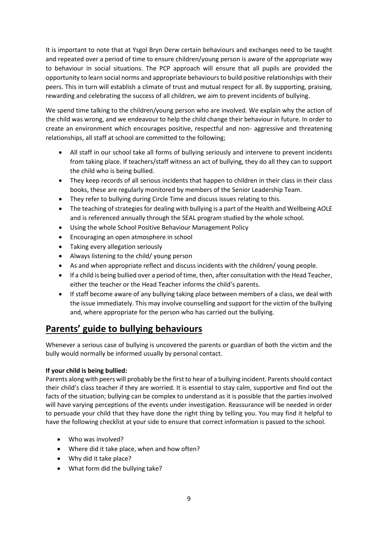It is important to note that at Ysgol Bryn Derw certain behaviours and exchanges need to be taught and repeated over a period of time to ensure children/young person is aware of the appropriate way to behaviour in social situations. The PCP approach will ensure that all pupils are provided the opportunity to learn social norms and appropriate behaviours to build positive relationships with their peers. This in turn will establish a climate of trust and mutual respect for all. By supporting, praising, rewarding and celebrating the success of all children, we aim to prevent incidents of bullying.

We spend time talking to the children/young person who are involved. We explain why the action of the child was wrong, and we endeavour to help the child change their behaviour in future. In order to create an environment which encourages positive, respectful and non- aggressive and threatening relationships, all staff at school are committed to the following;

- All staff in our school take all forms of bullying seriously and intervene to prevent incidents from taking place. If teachers/staff witness an act of bullying, they do all they can to support the child who is being bullied.
- They keep records of all serious incidents that happen to children in their class in their class books, these are regularly monitored by members of the Senior Leadership Team.
- They refer to bullying during Circle Time and discuss issues relating to this.
- The teaching of strategies for dealing with bullying is a part of the Health and Wellbeing AOLE and is referenced annually through the SEAL program studied by the whole school.
- Using the whole School Positive Behaviour Management Policy
- Encouraging an open atmosphere in school
- Taking every allegation seriously
- Always listening to the child/ young person
- As and when appropriate reflect and discuss incidents with the children/ young people.
- If a child is being bullied over a period of time, then, after consultation with the Head Teacher, either the teacher or the Head Teacher informs the child's parents.
- If staff become aware of any bullying taking place between members of a class, we deal with the issue immediately. This may involve counselling and support for the victim of the bullying and, where appropriate for the person who has carried out the bullying.

# **Parents' guide to bullying behaviours**

Whenever a serious case of bullying is uncovered the parents or guardian of both the victim and the bully would normally be informed usually by personal contact.

#### **If your child is being bullied:**

Parents along with peers will probably be the first to hear of a bullying incident. Parents should contact their child's class teacher if they are worried. It is essential to stay calm, supportive and find out the facts of the situation; bullying can be complex to understand as it is possible that the parties involved will have varying perceptions of the events under investigation. Reassurance will be needed in order to persuade your child that they have done the right thing by telling you. You may find it helpful to have the following checklist at your side to ensure that correct information is passed to the school.

- Who was involved?
- Where did it take place, when and how often?
- Why did it take place?
- What form did the bullying take?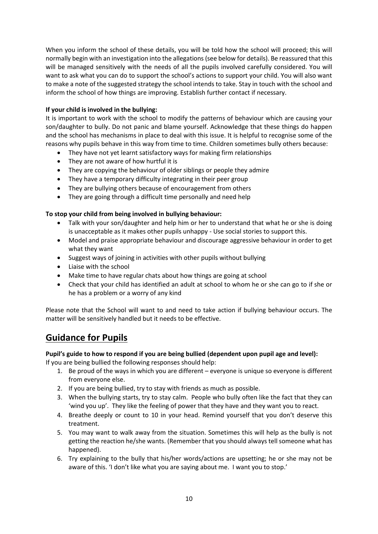When you inform the school of these details, you will be told how the school will proceed; this will normally begin with an investigation into the allegations (see below for details). Be reassured that this will be managed sensitively with the needs of all the pupils involved carefully considered. You will want to ask what you can do to support the school's actions to support your child. You will also want to make a note of the suggested strategy the school intends to take. Stay in touch with the school and inform the school of how things are improving. Establish further contact if necessary.

#### **If your child is involved in the bullying:**

It is important to work with the school to modify the patterns of behaviour which are causing your son/daughter to bully. Do not panic and blame yourself. Acknowledge that these things do happen and the school has mechanisms in place to deal with this issue. It is helpful to recognise some of the reasons why pupils behave in this way from time to time. Children sometimes bully others because:

- They have not yet learnt satisfactory ways for making firm relationships
- They are not aware of how hurtful it is
- They are copying the behaviour of older siblings or people they admire
- They have a temporary difficulty integrating in their peer group
- They are bullying others because of encouragement from others
- They are going through a difficult time personally and need help

#### **To stop your child from being involved in bullying behaviour:**

- Talk with your son/daughter and help him or her to understand that what he or she is doing is unacceptable as it makes other pupils unhappy - Use social stories to support this.
- Model and praise appropriate behaviour and discourage aggressive behaviour in order to get what they want
- Suggest ways of joining in activities with other pupils without bullying
- Liaise with the school
- Make time to have regular chats about how things are going at school
- Check that your child has identified an adult at school to whom he or she can go to if she or he has a problem or a worry of any kind

Please note that the School will want to and need to take action if bullying behaviour occurs. The matter will be sensitively handled but it needs to be effective.

### **Guidance for Pupils**

#### **Pupil's guide to how to respond if you are being bullied (dependent upon pupil age and level):**

If you are being bullied the following responses should help:

- 1. Be proud of the ways in which you are different everyone is unique so everyone is different from everyone else.
- 2. If you are being bullied, try to stay with friends as much as possible.
- 3. When the bullying starts, try to stay calm. People who bully often like the fact that they can 'wind you up'. They like the feeling of power that they have and they want you to react.
- 4. Breathe deeply or count to 10 in your head. Remind yourself that you don't deserve this treatment.
- 5. You may want to walk away from the situation. Sometimes this will help as the bully is not getting the reaction he/she wants. (Remember that you should always tell someone what has happened).
- 6. Try explaining to the bully that his/her words/actions are upsetting; he or she may not be aware of this. 'I don't like what you are saying about me. I want you to stop.'